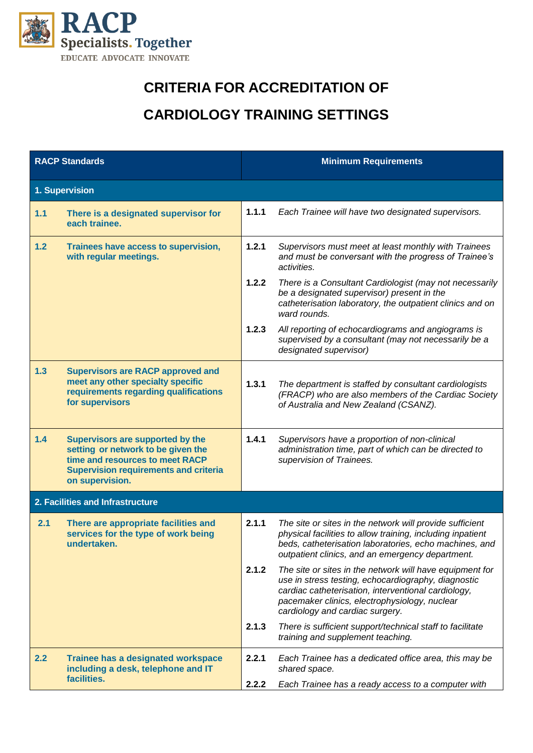

## **CRITERIA FOR ACCREDITATION OF**

## **CARDIOLOGY TRAINING SETTINGS**

| <b>RACP Standards</b>            |                                                                                                                                                                              | <b>Minimum Requirements</b> |                                                                                                                                                                                                                                                            |  |  |
|----------------------------------|------------------------------------------------------------------------------------------------------------------------------------------------------------------------------|-----------------------------|------------------------------------------------------------------------------------------------------------------------------------------------------------------------------------------------------------------------------------------------------------|--|--|
| 1. Supervision                   |                                                                                                                                                                              |                             |                                                                                                                                                                                                                                                            |  |  |
| 1.1                              | There is a designated supervisor for<br>each trainee.                                                                                                                        | 1.1.1                       | Each Trainee will have two designated supervisors.                                                                                                                                                                                                         |  |  |
| 1.2                              | Trainees have access to supervision,<br>with regular meetings.                                                                                                               | 1.2.1                       | Supervisors must meet at least monthly with Trainees<br>and must be conversant with the progress of Trainee's<br>activities.                                                                                                                               |  |  |
|                                  |                                                                                                                                                                              | 1.2.2                       | There is a Consultant Cardiologist (may not necessarily<br>be a designated supervisor) present in the<br>catheterisation laboratory, the outpatient clinics and on<br>ward rounds.                                                                         |  |  |
|                                  |                                                                                                                                                                              | 1.2.3                       | All reporting of echocardiograms and angiograms is<br>supervised by a consultant (may not necessarily be a<br>designated supervisor)                                                                                                                       |  |  |
| 1.3                              | <b>Supervisors are RACP approved and</b><br>meet any other specialty specific<br>requirements regarding qualifications<br>for supervisors                                    | 1.3.1                       | The department is staffed by consultant cardiologists<br>(FRACP) who are also members of the Cardiac Society<br>of Australia and New Zealand (CSANZ).                                                                                                      |  |  |
| 1.4                              | Supervisors are supported by the<br>setting or network to be given the<br>time and resources to meet RACP<br><b>Supervision requirements and criteria</b><br>on supervision. | 1.4.1                       | Supervisors have a proportion of non-clinical<br>administration time, part of which can be directed to<br>supervision of Trainees.                                                                                                                         |  |  |
| 2. Facilities and Infrastructure |                                                                                                                                                                              |                             |                                                                                                                                                                                                                                                            |  |  |
| 2.1                              | There are appropriate facilities and<br>services for the type of work being<br>undertaken.                                                                                   | 2.1.1                       | The site or sites in the network will provide sufficient<br>physical facilities to allow training, including inpatient<br>beds, catheterisation laboratories, echo machines, and<br>outpatient clinics, and an emergency department.                       |  |  |
|                                  |                                                                                                                                                                              | 2.1.2                       | The site or sites in the network will have equipment for<br>use in stress testing, echocardiography, diagnostic<br>cardiac catheterisation, interventional cardiology,<br>pacemaker clinics, electrophysiology, nuclear<br>cardiology and cardiac surgery. |  |  |
|                                  |                                                                                                                                                                              | 2.1.3                       | There is sufficient support/technical staff to facilitate<br>training and supplement teaching.                                                                                                                                                             |  |  |
| 2.2                              | Trainee has a designated workspace<br>including a desk, telephone and IT<br>facilities.                                                                                      | 2.2.1                       | Each Trainee has a dedicated office area, this may be<br>shared space.                                                                                                                                                                                     |  |  |
|                                  |                                                                                                                                                                              | 2.2.2                       | Each Trainee has a ready access to a computer with                                                                                                                                                                                                         |  |  |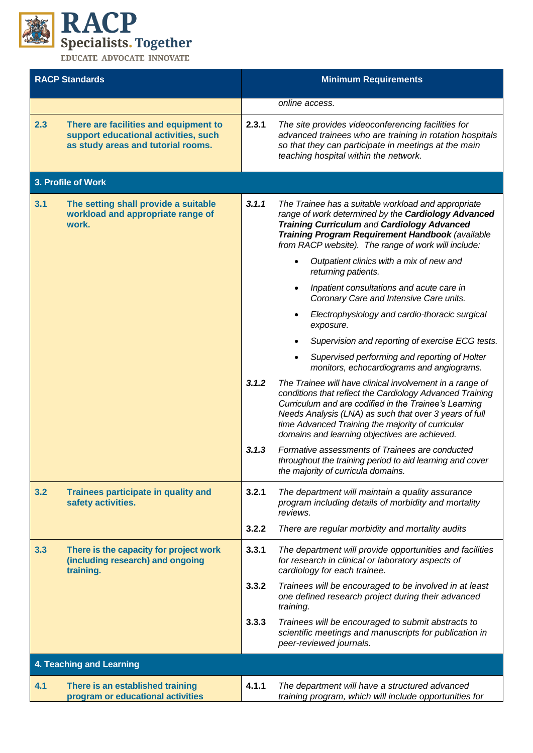

| <b>RACP Standards</b> |                                                                                                                     | <b>Minimum Requirements</b> |                                                                                                                                                                                                                                                                                                                                               |  |  |  |
|-----------------------|---------------------------------------------------------------------------------------------------------------------|-----------------------------|-----------------------------------------------------------------------------------------------------------------------------------------------------------------------------------------------------------------------------------------------------------------------------------------------------------------------------------------------|--|--|--|
|                       |                                                                                                                     |                             | online access.                                                                                                                                                                                                                                                                                                                                |  |  |  |
| 2.3                   | There are facilities and equipment to<br>support educational activities, such<br>as study areas and tutorial rooms. | 2.3.1                       | The site provides videoconferencing facilities for<br>advanced trainees who are training in rotation hospitals<br>so that they can participate in meetings at the main<br>teaching hospital within the network.                                                                                                                               |  |  |  |
|                       | 3. Profile of Work                                                                                                  |                             |                                                                                                                                                                                                                                                                                                                                               |  |  |  |
| 3.1                   | The setting shall provide a suitable<br>workload and appropriate range of<br>work.                                  | 3.1.1                       | The Trainee has a suitable workload and appropriate<br>range of work determined by the Cardiology Advanced<br><b>Training Curriculum and Cardiology Advanced</b><br>Training Program Requirement Handbook (available<br>from RACP website). The range of work will include:                                                                   |  |  |  |
|                       |                                                                                                                     |                             | Outpatient clinics with a mix of new and<br>returning patients.                                                                                                                                                                                                                                                                               |  |  |  |
|                       |                                                                                                                     |                             | Inpatient consultations and acute care in<br>Coronary Care and Intensive Care units.                                                                                                                                                                                                                                                          |  |  |  |
|                       |                                                                                                                     |                             | Electrophysiology and cardio-thoracic surgical<br>exposure.                                                                                                                                                                                                                                                                                   |  |  |  |
|                       |                                                                                                                     |                             | Supervision and reporting of exercise ECG tests.                                                                                                                                                                                                                                                                                              |  |  |  |
|                       |                                                                                                                     |                             | Supervised performing and reporting of Holter<br>monitors, echocardiograms and angiograms.                                                                                                                                                                                                                                                    |  |  |  |
|                       |                                                                                                                     | 3.1.2                       | The Trainee will have clinical involvement in a range of<br>conditions that reflect the Cardiology Advanced Training<br>Curriculum and are codified in the Trainee's Learning<br>Needs Analysis (LNA) as such that over 3 years of full<br>time Advanced Training the majority of curricular<br>domains and learning objectives are achieved. |  |  |  |
|                       |                                                                                                                     | 3.1.3                       | Formative assessments of Trainees are conducted<br>throughout the training period to aid learning and cover<br>the majority of curricula domains.                                                                                                                                                                                             |  |  |  |
| 3.2                   | Trainees participate in quality and<br>safety activities.                                                           | 3.2.1                       | The department will maintain a quality assurance<br>program including details of morbidity and mortality<br>reviews.                                                                                                                                                                                                                          |  |  |  |
|                       |                                                                                                                     | 3.2.2                       | There are regular morbidity and mortality audits                                                                                                                                                                                                                                                                                              |  |  |  |
| 3.3                   | There is the capacity for project work<br>(including research) and ongoing<br>training.                             | 3.3.1                       | The department will provide opportunities and facilities<br>for research in clinical or laboratory aspects of<br>cardiology for each trainee.                                                                                                                                                                                                 |  |  |  |
|                       |                                                                                                                     | 3.3.2                       | Trainees will be encouraged to be involved in at least<br>one defined research project during their advanced<br>training.                                                                                                                                                                                                                     |  |  |  |
|                       |                                                                                                                     | 3.3.3                       | Trainees will be encouraged to submit abstracts to<br>scientific meetings and manuscripts for publication in<br>peer-reviewed journals.                                                                                                                                                                                                       |  |  |  |
|                       | 4. Teaching and Learning                                                                                            |                             |                                                                                                                                                                                                                                                                                                                                               |  |  |  |
| 4.1                   | There is an established training<br>program or educational activities                                               | 4.1.1                       | The department will have a structured advanced<br>training program, which will include opportunities for                                                                                                                                                                                                                                      |  |  |  |